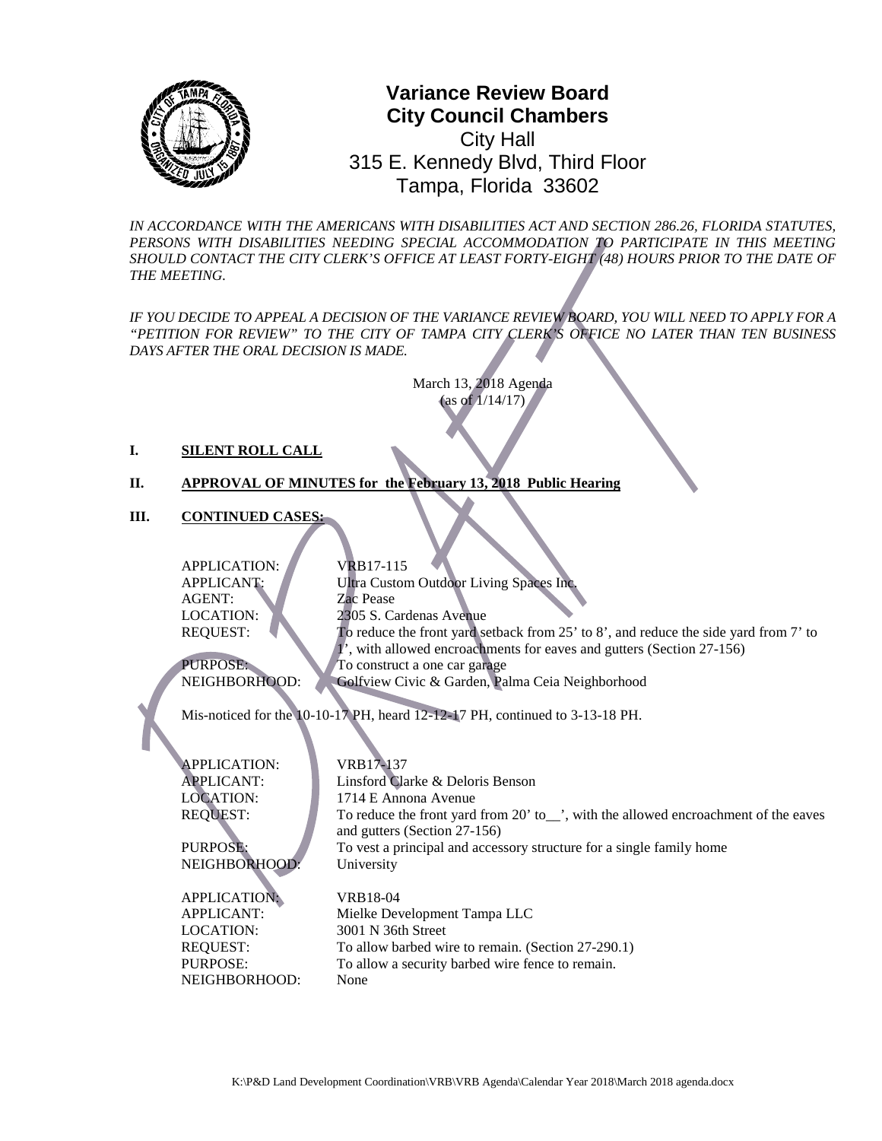

## **0** Tampa, Florida 33602**Variance Review Board City Council Chambers** City Hall 315 E. Kennedy Blvd, Third Floor

*IN ACCORDANCE WITH THE AMERICANS WITH DISABILITIES ACT AND SECTION 286.26, FLORIDA STATUTES,*  PERSONS WITH DISABILITIES NEEDING SPECIAL ACCOMMODATION TO PARTICIPATE IN THIS MEETING *SHOULD CONTACT THE CITY CLERK'S OFFICE AT LEAST FORTY-EIGHT (48) HOURS PRIOR TO THE DATE OF THE MEETING.*

*IF YOU DECIDE TO APPEAL A DECISION OF THE VARIANCE REVIEW BOARD, YOU WILL NEED TO APPLY FOR A "PETITION FOR REVIEW" TO THE CITY OF TAMPA CITY CLERK'S OFFICE NO LATER THAN TEN BUSINESS DAYS AFTER THE ORAL DECISION IS MADE.* 

> March 13, 2018 Agenda (as of 1/14/17)

#### **I. SILENT ROLL CALL**

### **II. APPROVAL OF MINUTES for the February 13, 2018 Public Hearing**

**III. CONTINUED CASES:**

APPLICATION: VRB17-115 APPLICANT: Ultra Custom Outdoor Living Spaces Inc. AGENT: Zac Pease LOCATION: 2305 S. Cardenas Avenue REQUEST: To reduce the front yard setback from 25' to 8', and reduce the side yard from 7' to

PURPOSE:<br>
NEIGHBORHOOD: Golfview Civic & Garden, Pa

1', with allowed encroachments for eaves and gutters (Section 27-156)

Golfview Civic & Garden, Palma Ceia Neighborhood

Mis-noticed for the 10-10-17 PH, heard 12-12-17 PH, continued to 3-13-18 PH.

APPLICATION: VRB17-137

NEIGHBORHOOD: University

APPLICATION: VRB18-04 LOCATION: 3001 N 36th Street NEIGHBORHOOD: None

APPLICANT: Linsford Clarke & Deloris Benson LOCATION: 1714 E Annona Avenue REQUEST: To reduce the front yard from 20' to\_', with the allowed encroachment of the eaves and gutters (Section 27-156) PURPOSE: To vest a principal and accessory structure for a single family home

APPLICANT: Mielke Development Tampa LLC REQUEST: To allow barbed wire to remain. (Section 27-290.1) PURPOSE: To allow a security barbed wire fence to remain.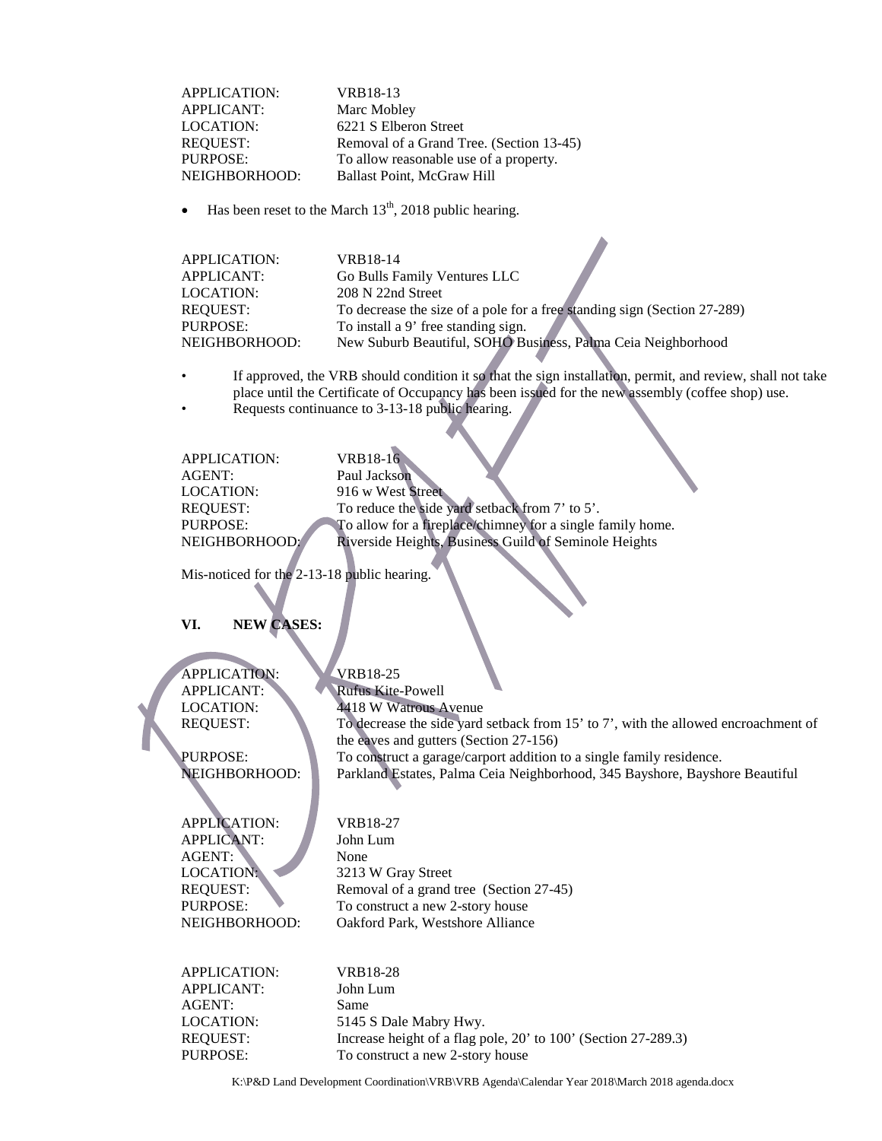APPLICATION: VRB18-13 APPLICANT: Marc Mobley LOCATION: 6221 S Elberon Street REQUEST: Removal of a Grand Tree. (Section 13-45) PURPOSE: To allow reasonable use of a property.<br>
NEIGHBORHOOD: Ballast Point, McGraw Hill Ballast Point, McGraw Hill

Has been reset to the March  $13<sup>th</sup>$ , 2018 public hearing.

| APPLICATION:  | VRB18-14                                                                 |
|---------------|--------------------------------------------------------------------------|
| APPLICANT:    | Go Bulls Family Ventures LLC                                             |
| LOCATION:     | 208 N 22nd Street                                                        |
| REOUEST:      | To decrease the size of a pole for a free standing sign (Section 27-289) |
| PURPOSE:      | To install a 9' free standing sign.                                      |
| NEIGHBORHOOD: | New Suburb Beautiful, SOHO Business, Palma Ceia Neighborhood             |

- If approved, the VRB should condition it so that the sign installation, permit, and review, shall not take place until the Certificate of Occupancy has been issued for the new assembly (coffee shop) use.
- Requests continuance to 3-13-18 public hearing.

| <b>APPLICATION:</b> | VRB18-16                                                   |  |
|---------------------|------------------------------------------------------------|--|
| AGENT:              | Paul Jackson                                               |  |
| LOCATION:           | 916 w West Street                                          |  |
| <b>REQUEST:</b>     | To reduce the side yard setback from 7' to 5'.             |  |
| PURPOSE:            | To allow for a fireplace/chimney for a single family home. |  |
| NEIGHBORHOOD:       | Riverside Heights, Business Guild of Seminole Heights      |  |
|                     |                                                            |  |

Mis-noticed for the 2-13-18 public hearing.

### **VI. NEW CASES:**

APPLICATION: VRB18-25

APPLICANT: Rufus Kite-Powell LOCATION: 4418 W Watrous Avenue REQUEST: To decrease the side yard setback from 15' to 7', with the allowed encroachment of the eaves and gutters (Section 27-156) PURPOSE:<br>
To construct a garage/carport addition to a single family residence.<br>
NEIGHBORHOOD: Parkland Estates, Palma Ceia Neighborhood, 345 Bayshore, Baysh Parkland Estates, Palma Ceia Neighborhood, 345 Bayshore, Bayshore Beautiful

# APPLICATION: VRB18-27 APPLICANT: John Lum AGENT: None<br>
LOCATION: 3213

3213 W Gray Street REQUEST: Removal of a grand tree (Section 27-45) PURPOSE: To construct a new 2-story house NEIGHBORHOOD: Oakford Park, Westshore Alliance

APPLICATION: VRB18-28 APPLICANT: John Lum AGENT: Same LOCATION: 5145 S Dale Mabry Hwy. REQUEST: Increase height of a flag pole, 20' to 100' (Section 27-289.3) PURPOSE: To construct a new 2-story house